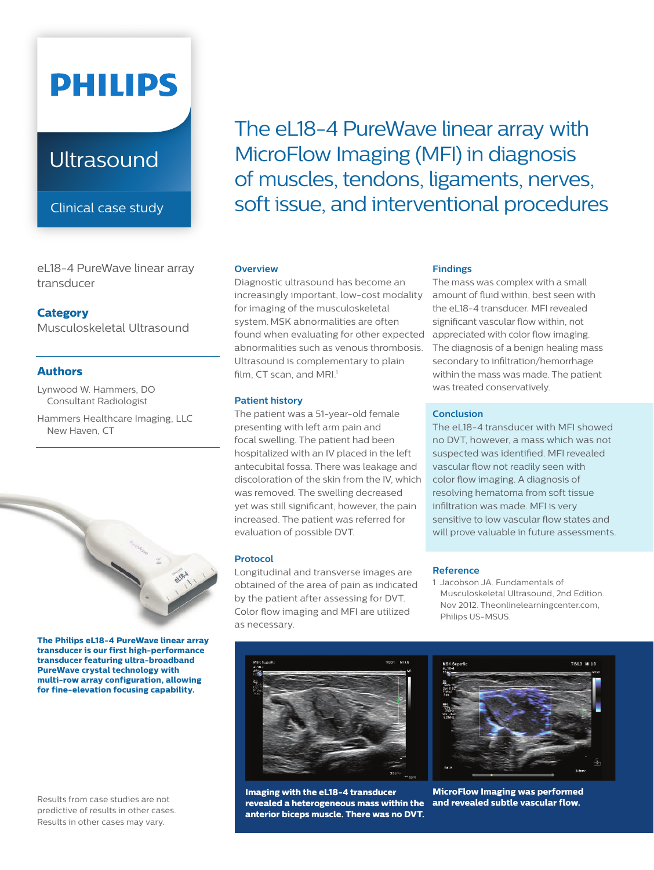# **PHILIPS**

## **Ultrasound**

Clinical case study

eL18-4 PureWave linear array transducer

#### **Category**

Musculoskeletal Ultrasound

#### **Authors**

Lynwood W. Hammers, DO Consultant Radiologist

Hammers Healthcare Imaging, LLC New Haven, CT



**The Philips eL18-4 PureWave linear array transducer is our first high-performance transducer featuring ultra-broadband PureWave crystal technology with multi-row array configuration, allowing for fine-elevation focusing capability.**

Results from case studies are not predictive of results in other cases. Results in other cases may vary.

The eL18-4 PureWave linear array with MicroFlow Imaging (MFI) in diagnosis of muscles, tendons, ligaments, nerves, soft issue, and interventional procedures

#### **Overview**

Diagnostic ultrasound has become an increasingly important, low-cost modality for imaging of the musculoskeletal system.MSK abnormalities are often found when evaluating for other expected abnormalities such as venous thrombosis. Ultrasound is complementary to plain film, CT scan, and MRI.<sup>1</sup>

#### **Patient history**

The patient was a 51-year-old female presenting with left arm pain and focal swelling. The patient had been hospitalized with an IV placed in the left antecubital fossa. There was leakage and discoloration of the skin from the IV, which was removed. The swelling decreased yet was still significant, however, the pain increased. The patient was referred for evaluation of possible DVT.

#### **Protocol**

Longitudinal and transverse images are obtained of the area of pain as indicated by the patient after assessing for DVT. Color flow imaging and MFI are utilized as necessary.



The mass was complex with a small amount of fluid within, best seen with the eL18-4 transducer. MFI revealed significant vascular flow within, not appreciated with color flow imaging. The diagnosis of a benign healing mass secondary to infiltration/hemorrhage within the mass was made. The patient was treated conservatively.

#### **Conclusion**

The eL18-4 transducer with MFI showed no DVT, however, a mass which was not suspected was identified. MFI revealed vascular flow not readily seen with color flow imaging. A diagnosis of resolving hematoma from soft tissue infiltration was made. MFI is very sensitive to low vascular flow states and will prove valuable in future assessments.

#### **Reference**

1 Jacobson JA. Fundamentals of Musculoskeletal Ultrasound, 2nd Edition. Nov 2012. Theonlinelearningcenter.com, Philips US-MSUS.



**Imaging with the eL18-4 transducer revealed a heterogeneous mass within the anterior biceps muscle. There was no DVT.** 



**MicroFlow Imaging was performed and revealed subtle vascular flow.**